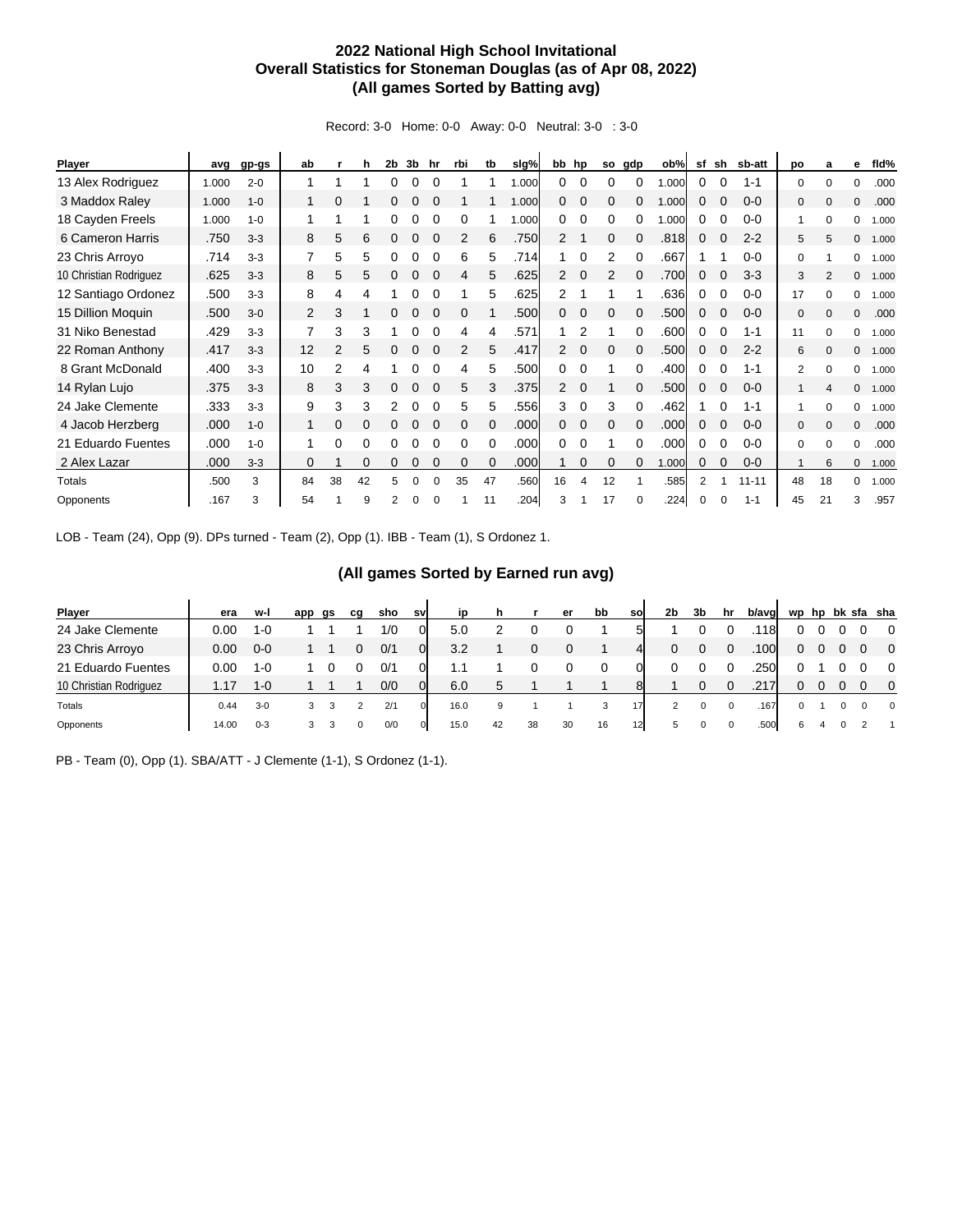## **2022 National High School Invitational Overall Statistics for Stoneman Douglas (as of Apr 08, 2022) (All games Sorted by Batting avg)**

Record: 3-0 Home: 0-0 Away: 0-0 Neutral: 3-0 : 3-0

| <b>Player</b>          | avg   | gp-gs   | ab             |    | h        | 2 <sub>b</sub> | 3b | hr          | rbi      | tb       | slg%  | bb hp          |             | so       | gdp      | ob%   | sf       | sh       | sb-att    | po           | a              | е            | fld%  |
|------------------------|-------|---------|----------------|----|----------|----------------|----|-------------|----------|----------|-------|----------------|-------------|----------|----------|-------|----------|----------|-----------|--------------|----------------|--------------|-------|
| 13 Alex Rodriguez      | 1.000 | $2 - 0$ | 1              |    |          | 0              | 0  |             |          |          | 1.000 | 0              |             |          | 0        | .000  | 0        | $\Omega$ | $1 - 1$   | $\mathbf 0$  | $\Omega$       | 0            | .000  |
| 3 Maddox Raley         | 1.000 | $1 - 0$ |                | 0  |          |                |    |             |          |          | 1.000 | 0              |             | 0        |          | .000  | 0        |          | $0 - 0$   | $\mathbf 0$  | $\Omega$       | $\mathbf{0}$ | .000  |
| 18 Cayden Freels       | 1.000 | $1 - 0$ |                |    |          |                |    |             | 0        |          | 1.000 | 0              |             | 0        |          | .000  | 0        |          | $0 - 0$   | 1            | $\Omega$       | 0            | 1.000 |
| 6 Cameron Harris       | .750  | $3 - 3$ | 8              | 5  | 6        | 0              | 0  | $\Omega$    | 2        | 6        | .750  | 2              |             | 0        | 0        | .818  | 0        |          | $2 - 2$   | 5            | 5              | $\mathbf{0}$ | 1.000 |
| 23 Chris Arroyo        | .714  | $3 - 3$ | 7              | 5  | 5        | 0              | 0  | 0           | 6        | 5        | .714  |                | 0           | 2        | 0        | .667  |          |          | $0-0$     | 0            |                | 0            | 1.000 |
| 10 Christian Rodriguez | .625  | $3 - 3$ | 8              | 5  | 5        | 0              | 0  | $\mathbf 0$ | 4        | 5        | .625  | 2              | 0           | 2        | $\Omega$ | .700  | 0        | 0        | $3 - 3$   | 3            | $\overline{2}$ | $\mathbf{0}$ | 1.000 |
| 12 Santiago Ordonez    | .500  | $3 - 3$ | 8              | 4  | 4        |                | 0  |             |          | 5        | .625  | 2              |             |          |          | .636  | 0        | 0        | $0 - 0$   | 17           | $\Omega$       | 0            | 1.000 |
| 15 Dillion Moguin      | .500  | $3-0$   | $\overline{2}$ | 3  |          | 0              | 0  |             | $\Omega$ |          | .500  | 0              | $\mathbf 0$ | 0        | $\Omega$ | .500  | 0        | $\Omega$ | $0 - 0$   | $\mathbf 0$  | $\Omega$       | $\mathbf{0}$ | .000  |
| 31 Niko Benestad       | .429  | $3 - 3$ | 7              | 3  | 3        |                |    |             | 4        | 4        | .571  |                |             |          |          | .600  | 0        |          | $1 - 1$   | 11           | $\Omega$       | 0            | 1.000 |
| 22 Roman Anthony       | .417  | $3 - 3$ | 12             | 2  | 5        |                |    |             | 2        | 5        | .417  | 2              | $\mathbf 0$ | 0        | $\Omega$ | .500  | 0        |          | $2 - 2$   | 6            | $\Omega$       | $\mathbf{0}$ | 1.000 |
| 8 Grant McDonald       | .400  | $3 - 3$ | 10             | 2  | 4        |                |    |             | 4        | 5        | .500  | 0              |             |          | 0        | .400  | 0        |          | $1 - 1$   | 2            | U              | 0            | 1.000 |
| 14 Rylan Lujo          | .375  | $3 - 3$ | 8              | 3  | 3        | 0              | 0  |             | 5        | 3        | .375  | $\overline{2}$ | $\Omega$    |          |          | .500  | 0        |          | $0 - 0$   |              | $\Delta$       | $\Omega$     | 1.000 |
| 24 Jake Clemente       | .333  | $3 - 3$ | 9              | 3  | 3        | 2              | 0  |             | 5        | 5        | .556  | 3              | 0           | 3        | $\Omega$ | .462  |          |          | $1 - 1$   |              | $\Omega$       | 0            | 1.000 |
| 4 Jacob Herzberg       | .000  | $1 - 0$ | $\mathbf{1}$   | 0  | 0        | 0              | 0  | $\Omega$    | $\Omega$ | 0        | .000  | 0              | $\Omega$    | 0        | 0        | .000  | 0        |          | $0-0$     | $\mathbf{0}$ | $\Omega$       | $\Omega$     | .000  |
| 21 Eduardo Fuentes     | .000  | $1 - 0$ |                | 0  | 0        | 0              | 0  | 0           | $\Omega$ | $\Omega$ | .000  | 0              | 0           |          | 0        | .000  | 0        |          | $0 - 0$   | $\Omega$     | $\Omega$       | $\Omega$     | .000  |
| 2 Alex Lazar           | .000  | $3 - 3$ | $\Omega$       |    | $\Omega$ | 0              |    |             | $\Omega$ | $\Omega$ | .000  |                | $\Omega$    | $\Omega$ | $\Omega$ | 1.000 | 0        | $\Omega$ | $0 - 0$   | 1            | 6              | $\mathbf{0}$ | 1.000 |
| Totals                 | .500  | 3       | 84             | 38 | 42       | 5              | 0  |             | 35       | 47       | .560  | 16             | 4           | 12       |          | .585  | 2        |          | $11 - 11$ | 48           | 18             | $\Omega$     | 1.000 |
| Opponents              | .167  | 3       | 54             |    | 9        |                | 0  |             |          | 11       | .204  | 3              |             | 17       | $\Omega$ | .224  | $\Omega$ |          | $1 - 1$   | 45           | 21             | 3            | .957  |

LOB - Team (24), Opp (9). DPs turned - Team (2), Opp (1). IBB - Team (1), S Ordonez 1.

## **(All games Sorted by Earned run avg)**

| <b>Player</b>          | era   | w-l     | app | gs | cq       | sho | <b>SV</b>      | ip   | h  |    | er | bb | <b>SO</b>      | 2b | 3b | hr          | b/avg | wp       | hp |   | bk sfa sha              |
|------------------------|-------|---------|-----|----|----------|-----|----------------|------|----|----|----|----|----------------|----|----|-------------|-------|----------|----|---|-------------------------|
| 24 Jake Clemente       | 0.00  | $1 - 0$ |     |    |          | 1/0 |                | 5.0  |    |    |    |    |                |    |    |             | 118   |          |    |   | $\overline{\mathbf{0}}$ |
| 23 Chris Arroyo        | 0.00  | $0 - 0$ |     |    |          | 0/1 | $\overline{0}$ | 3.2  |    | 0  |    |    | $\overline{a}$ | 0  |    |             | 100   | 0        |    |   | $\overline{0}$          |
| 21 Eduardo Fuentes     | 0.00  | $1 - 0$ |     |    |          | 0/1 |                | 1.1  |    |    |    |    |                |    |    |             | 250   |          |    |   | $\overline{\mathbf{0}}$ |
| 10 Christian Rodriguez |       | $1 - 0$ |     |    |          | 0/0 | $\Omega$       | 6.0  |    |    |    |    | 8l             |    |    | 0           |       |          |    |   | $\overline{0}$          |
| Totals                 | 0.44  | $3-0$   |     |    |          | 2/1 | $\mathbf{0}$   | 16.0 | 9  |    |    | 3  | 17             |    |    |             | .167  | $\Omega$ |    | 0 | $\Omega$                |
| Opponents              | 14.00 | $0 - 3$ |     |    | $\Omega$ | 0/0 | $\overline{0}$ | 15.0 | 42 | 38 | 30 | 16 | 12             | 5  |    | $\mathbf 0$ | .500  | 6        |    |   |                         |

PB - Team (0), Opp (1). SBA/ATT - J Clemente (1-1), S Ordonez (1-1).